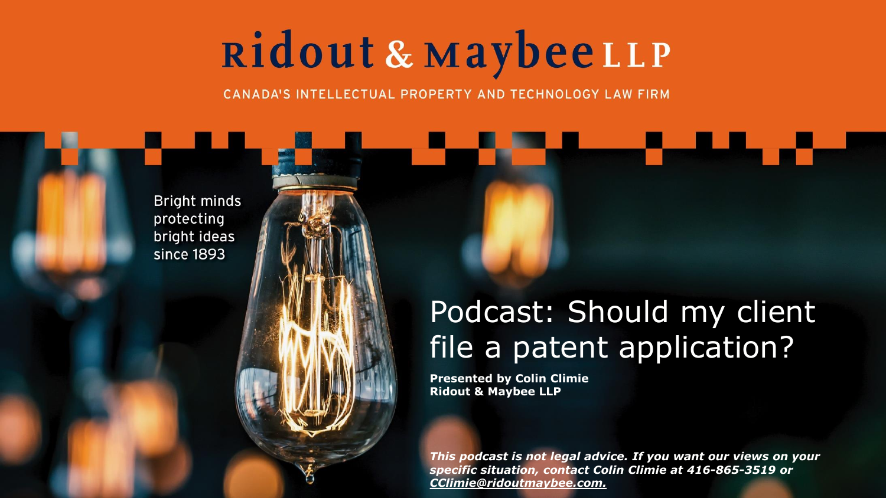## Ridout & Maybee LLP

CANADA'S INTELLECTUAL PROPERTY AND TECHNOLOGY LAW FIRM

Bright minds protecting bright ideas since 1893

#### Podcast: Should my client file a patent application?

**Presented by Colin Climie Ridout & Maybee LLP**

*This podcast is not legal advice. If you want our views on your specific situation, contact Colin Climie at 416-865-3519 or CClimie@ridoutmaybee.com.*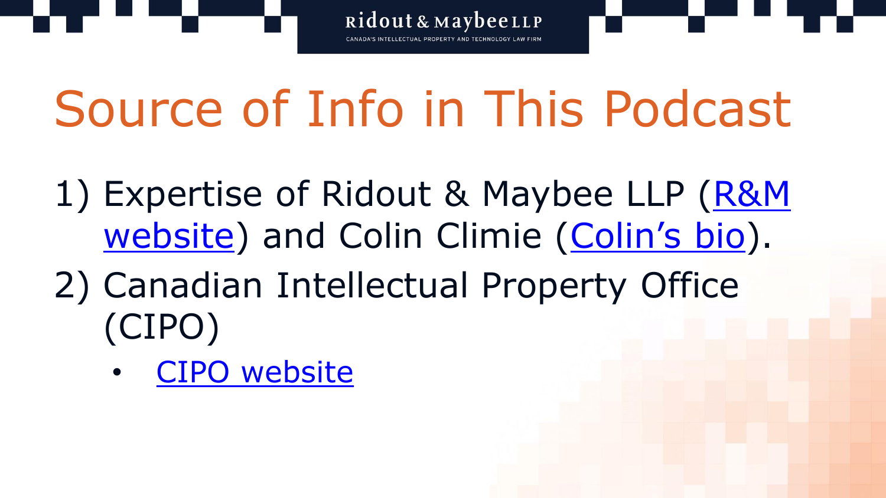

# Source of Info in This Podcast

- 1) Expertise of Ridout & Maybee LLP (R&M website) and Colin Climie ([Colin's bio](http://www.ridoutmaybee.com/ip-professionals/climie-colin-c/)).
- 2) Canadian Intellectual Property Office (CIPO)
	- [CIPO website](https://www.ic.gc.ca/eic/site/cipointernet-internetopic.nsf/eng/home)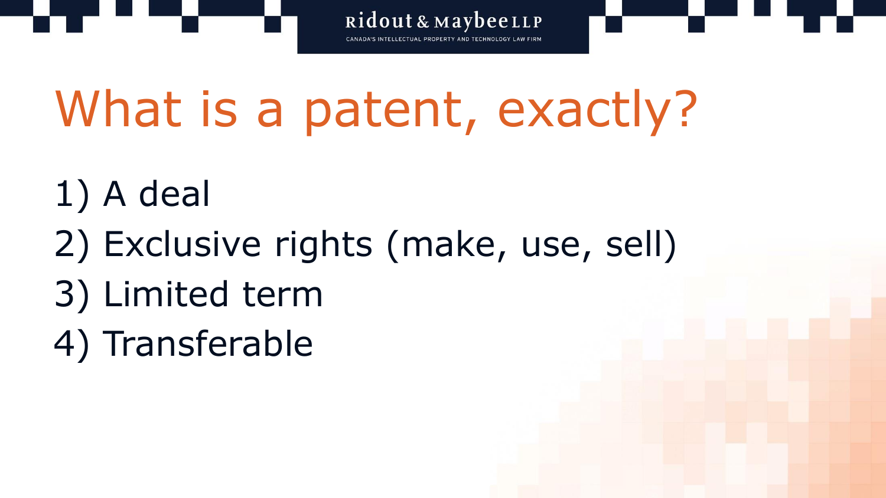

## What is a patent, exactly?

- 1) A deal
- 2) Exclusive rights (make, use, sell)
- 3) Limited term
- 4) Transferable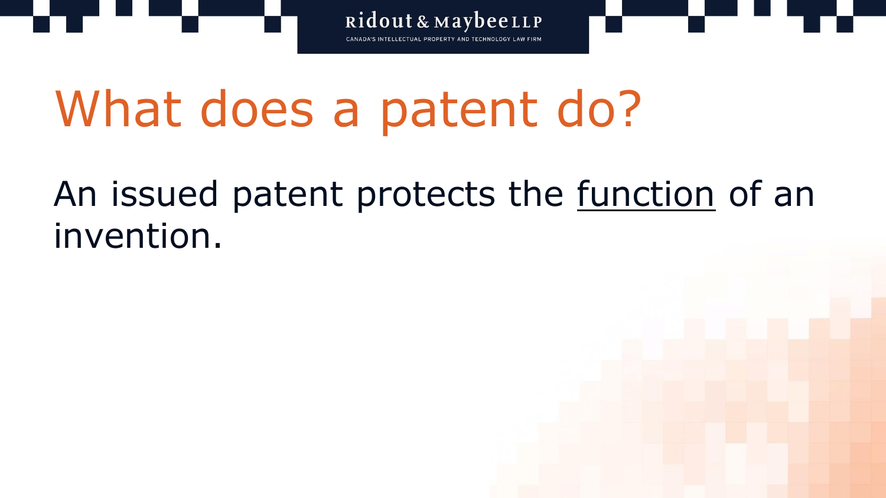

#### An issued patent protects the <u>function</u> of an invention.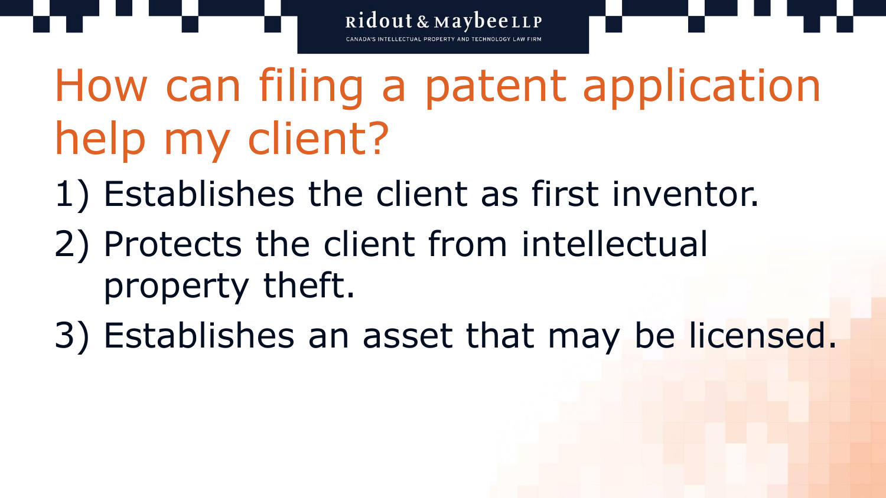How can filing a patent application help my client?

- 1) Establishes the client as first inventor.
- 2) Protects the client from intellectual property theft.
- 3) Establishes an asset that may be licensed.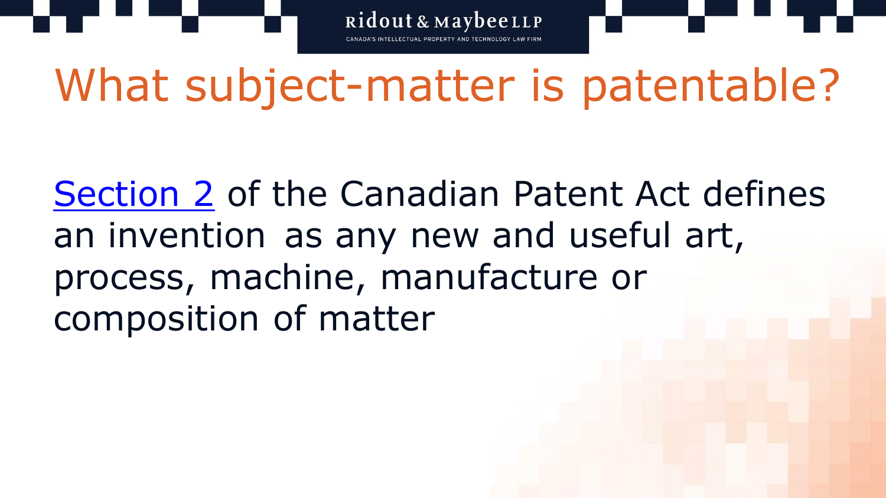Ridout & MaybeeLLP

## What subject-matter is patentable?

[Section 2](https://laws-lois.justice.gc.ca/eng/acts/P-4/page-1.html#h-2) of the Canadian Patent Act defines an invention as any new and useful art, process, machine, manufacture or composition of matter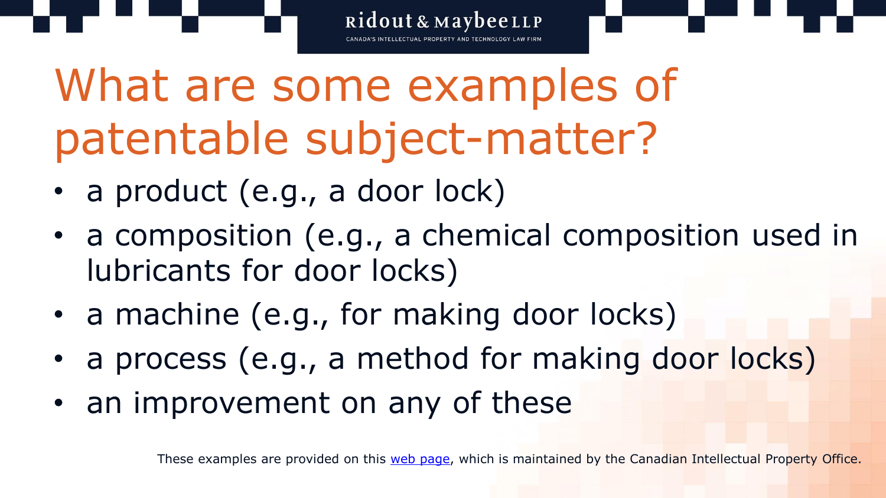What are some examples of patentable subject-matter?

- a product (e.g., a door lock)
- a composition (e.g., a chemical composition used in lubricants for door locks)

Ridout & MaybeeLLP

- a machine (e.g., for making door locks)
- a process (e.g., a method for making door locks)
- an improvement on any of these

These examples are provided on this [web page,](http://www.ic.gc.ca/eic/site/cipointernet-internetopic.nsf/eng/wr03716.html) which is maintained by the Canadian Intellectual Property Office.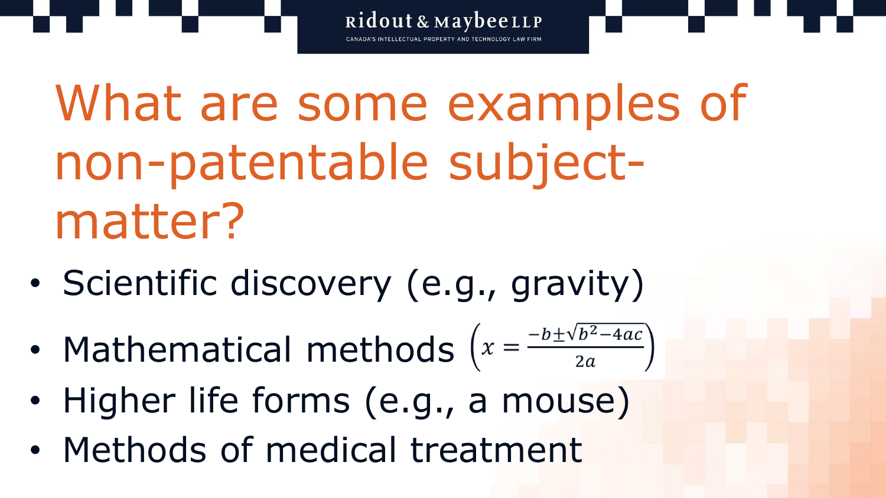What are some examples of non-patentable subjectmatter?

- Scientific discovery (e.g., gravity)
- Mathematical methods  $\left(x = \frac{-b \pm \sqrt{b^2-4ac}}{2a}\right)$
- Higher life forms (e.g., a mouse)
- Methods of medical treatment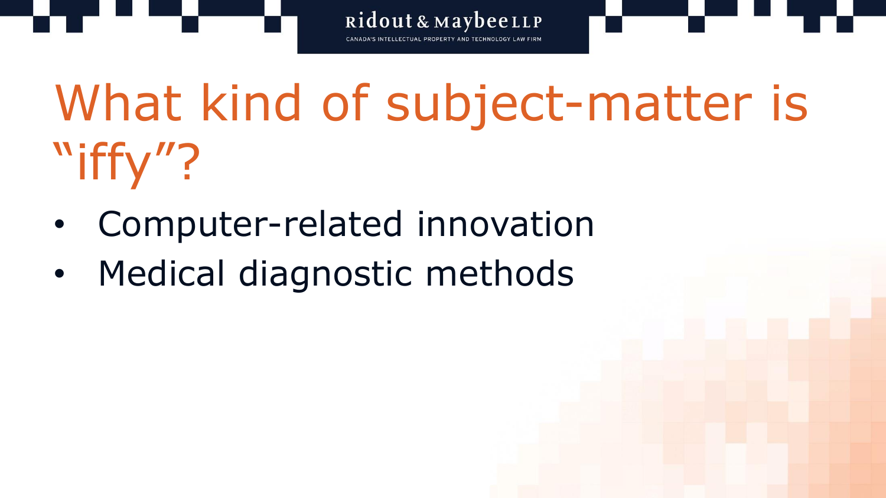What kind of subject-matter is "iffy"

- Computer-related innovation
- Medical diagnostic methods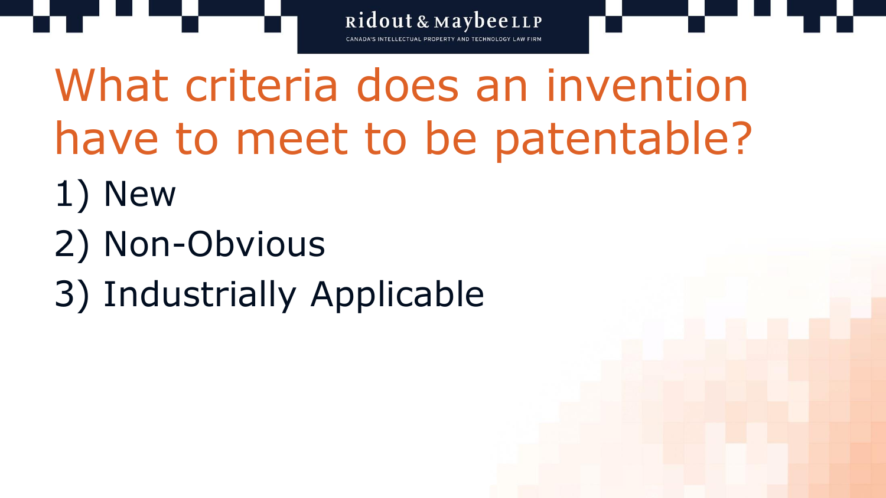What criteria does an invention have to meet to be patentable?

- 1) New
- 2) Non-Obvious
- 3) Industrially Applicable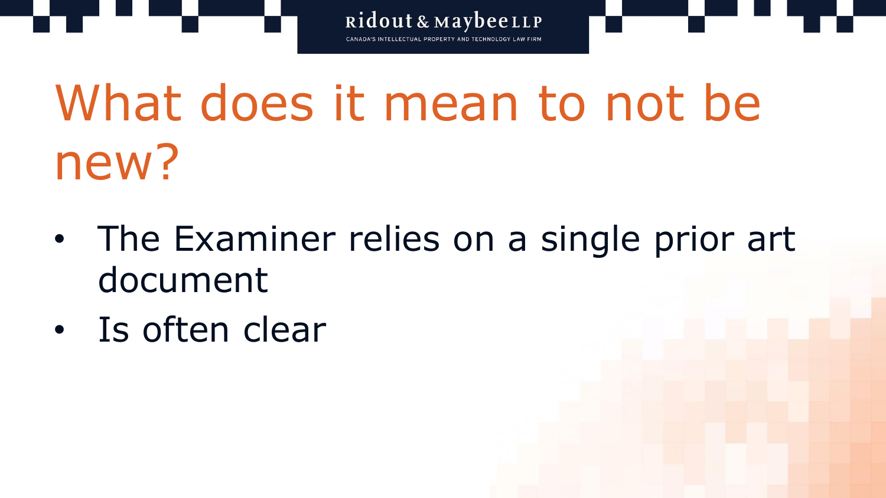What does it mean to not be new?

- The Examiner relies on a single prior art document
- Is often clear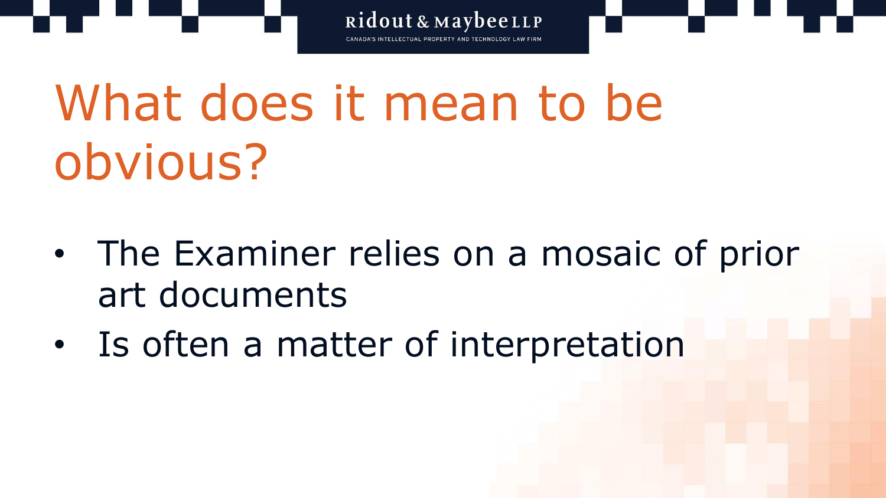What does it mean to be obvious?

• The Examiner relies on a mosaic of prior art documents

Ridout & MaybeeLLP

• Is often a matter of interpretation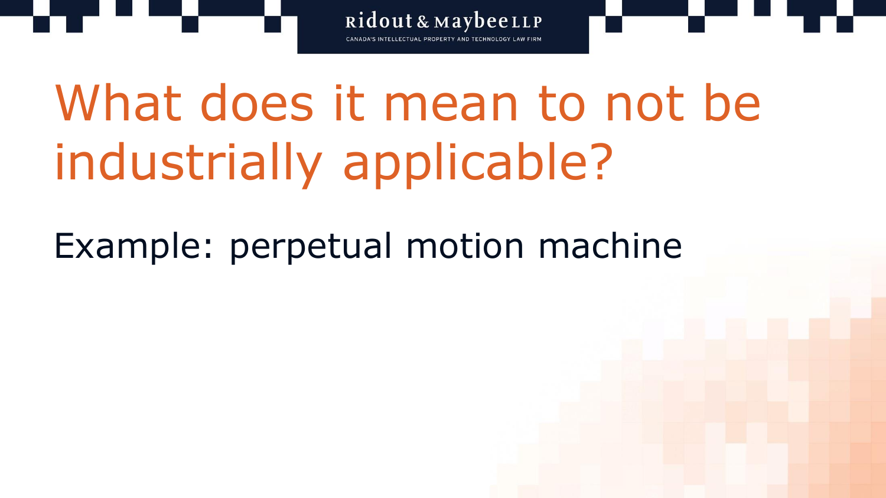What does it mean to not be industrially applicable?

Ridout & MaybeeLLP

Example: perpetual motion machine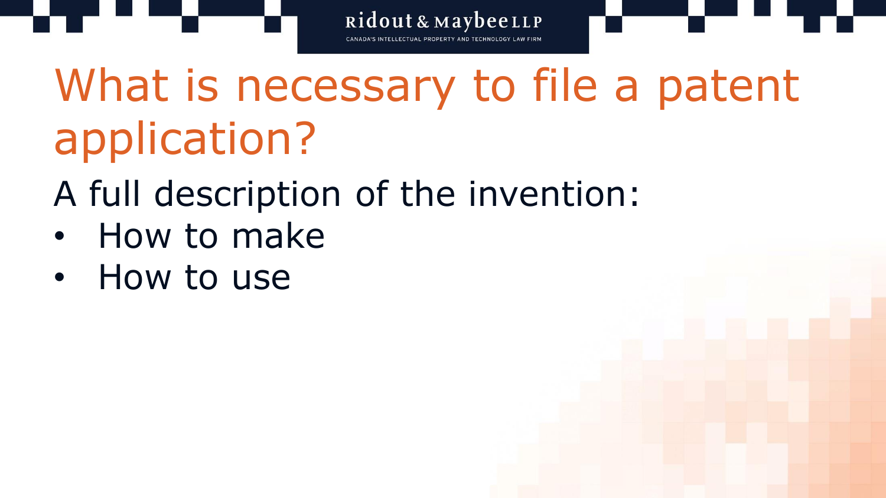What is necessary to file a patent application?

- A full description of the invention:
- How to make
- How to use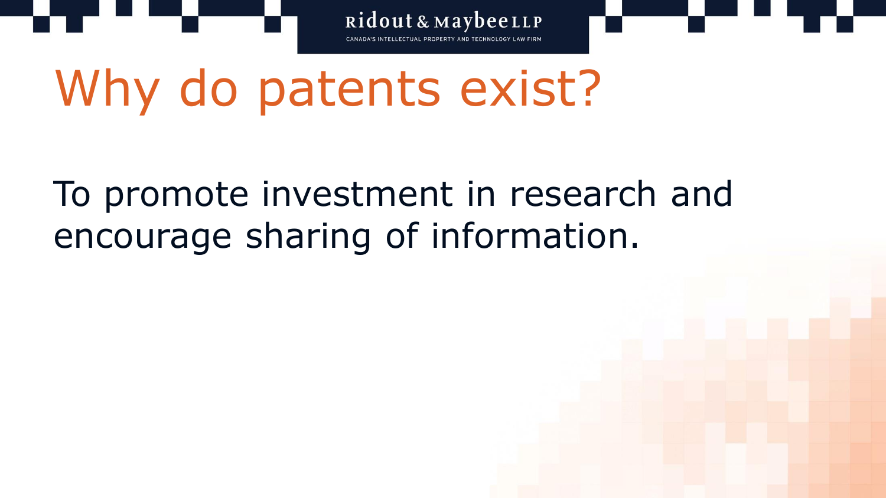

### To promote investment in research and encourage sharing of information.